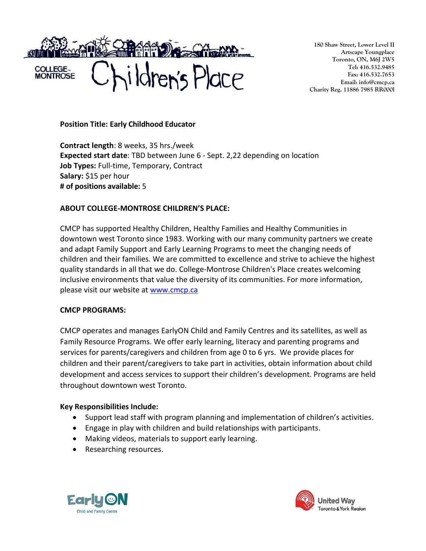

**180 Shaw Street, Lower Level II Artscape Youngplace Toronto, ON, M6J 2W5 Tel: 416.532.9485 Fax: 416.532.7653 Email: info@cmcp.ca Charity Reg. 11886 7985 RR000l**

**Position Title: Early Childhood Educator** 

**Contract length**: 8 weeks, 35 hrs./week **Expected start date**: TBD between June 6 - Sept. 2,22 depending on location **Job Types:** Full-time, Temporary, Contract **Salary:** \$15 per hour **# of positions available:** 5

## **ABOUT COLLEGE-MONTROSE CHILDREN'S PLACE:**

CMCP has supported Healthy Children, Healthy Families and Healthy Communities in downtown west Toronto since 1983. Working with our many community partners we create and adapt Family Support and Early Learning Programs to meet the changing needs of children and their families. We are committed to excellence and strive to achieve the highest quality standards in all that we do. College-Montrose Children's Place creates welcoming inclusive environments that value the diversity of its communities. For more information, please visit our website at [www.cmcp.ca](http://www.cmcp.ca/)

## **CMCP PROGRAMS:**

CMCP operates and manages EarlyON Child and Family Centres and its satellites, as well as Family Resource Programs. We offer early learning, literacy and parenting programs and services for parents/caregivers and children from age 0 to 6 yrs. We provide places for children and their parent/caregivers to take part in activities, obtain information about child development and access services to support their children's development. Programs are held throughout downtown west Toronto.

## **Key Responsibilities Include:**

- Support lead staff with program planning and implementation of children's activities.
- Engage in play with children and build relationships with participants.
- Making videos, materials to support early learning.
- Researching resources.